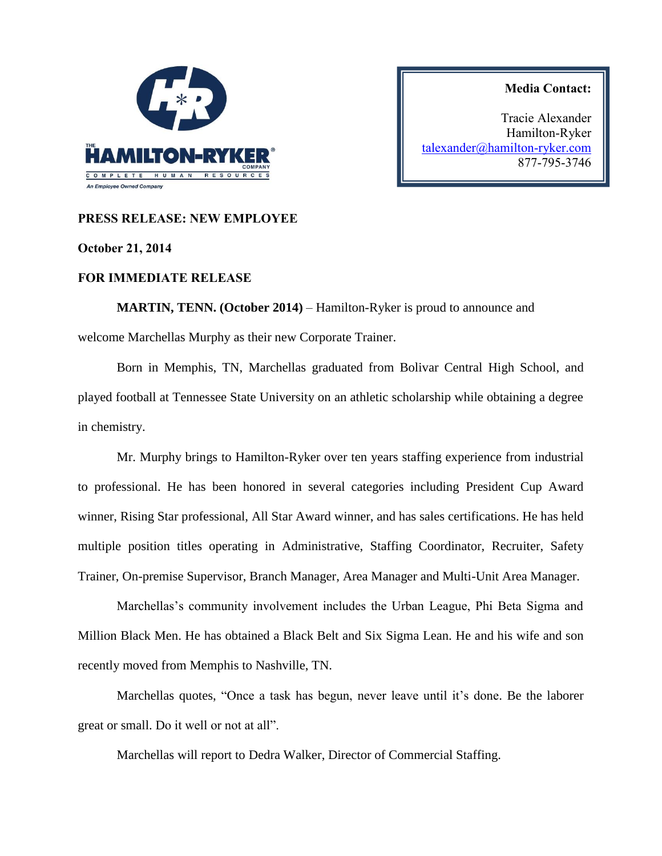

**Media Contact:**

Tracie Alexander Hamilton-Ryker [talexander@hamilton-ryker.com](mailto:talexander@hamilton-ryker.com) 877-795-3746

## **PRESS RELEASE: NEW EMPLOYEE**

## **October 21, 2014**

## **FOR IMMEDIATE RELEASE**

**MARTIN, TENN. (October 2014)** – Hamilton-Ryker is proud to announce and welcome Marchellas Murphy as their new Corporate Trainer.

Born in Memphis, TN, Marchellas graduated from Bolivar Central High School, and played football at Tennessee State University on an athletic scholarship while obtaining a degree in chemistry.

Mr. Murphy brings to Hamilton-Ryker over ten years staffing experience from industrial to professional. He has been honored in several categories including President Cup Award winner, Rising Star professional, All Star Award winner, and has sales certifications. He has held multiple position titles operating in Administrative, Staffing Coordinator, Recruiter, Safety Trainer, On-premise Supervisor, Branch Manager, Area Manager and Multi-Unit Area Manager.

Marchellas's community involvement includes the Urban League, Phi Beta Sigma and Million Black Men. He has obtained a Black Belt and Six Sigma Lean. He and his wife and son recently moved from Memphis to Nashville, TN.

Marchellas quotes, "Once a task has begun, never leave until it's done. Be the laborer great or small. Do it well or not at all".

Marchellas will report to Dedra Walker, Director of Commercial Staffing.